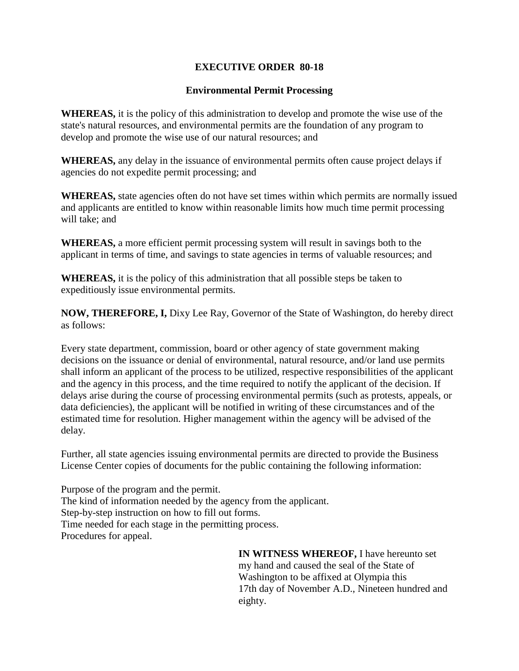## **EXECUTIVE ORDER 80-18**

## **Environmental Permit Processing**

**WHEREAS,** it is the policy of this administration to develop and promote the wise use of the state's natural resources, and environmental permits are the foundation of any program to develop and promote the wise use of our natural resources; and

**WHEREAS,** any delay in the issuance of environmental permits often cause project delays if agencies do not expedite permit processing; and

**WHEREAS,** state agencies often do not have set times within which permits are normally issued and applicants are entitled to know within reasonable limits how much time permit processing will take; and

**WHEREAS,** a more efficient permit processing system will result in savings both to the applicant in terms of time, and savings to state agencies in terms of valuable resources; and

**WHEREAS,** it is the policy of this administration that all possible steps be taken to expeditiously issue environmental permits.

**NOW, THEREFORE, I,** Dixy Lee Ray, Governor of the State of Washington, do hereby direct as follows:

Every state department, commission, board or other agency of state government making decisions on the issuance or denial of environmental, natural resource, and/or land use permits shall inform an applicant of the process to be utilized, respective responsibilities of the applicant and the agency in this process, and the time required to notify the applicant of the decision. If delays arise during the course of processing environmental permits (such as protests, appeals, or data deficiencies), the applicant will be notified in writing of these circumstances and of the estimated time for resolution. Higher management within the agency will be advised of the delay.

Further, all state agencies issuing environmental permits are directed to provide the Business License Center copies of documents for the public containing the following information:

Purpose of the program and the permit. The kind of information needed by the agency from the applicant. Step-by-step instruction on how to fill out forms. Time needed for each stage in the permitting process. Procedures for appeal.

> **IN WITNESS WHEREOF,** I have hereunto set my hand and caused the seal of the State of Washington to be affixed at Olympia this 17th day of November A.D., Nineteen hundred and eighty.